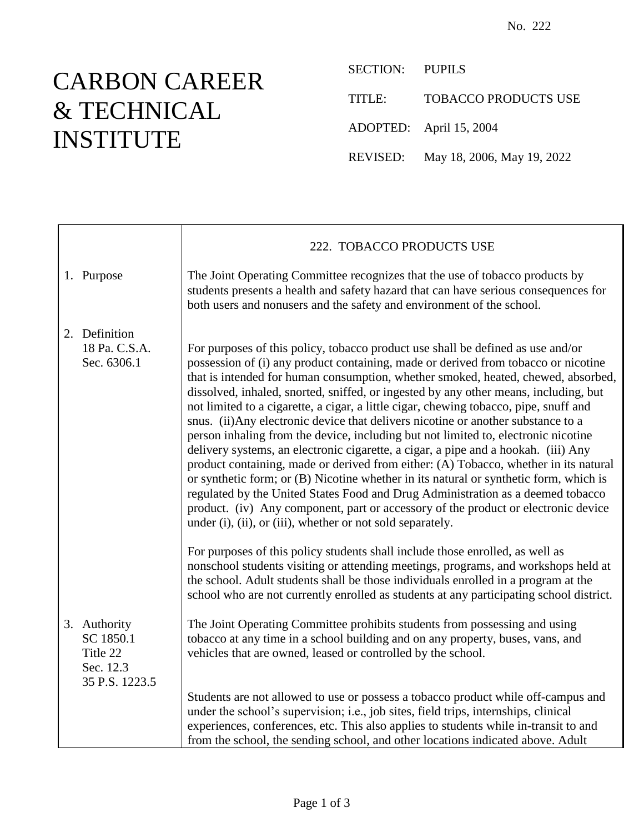## CARBON CAREER & TECHNICAL INSTITUTE

 $\Gamma$ 

SECTION: PUPILS TITLE: TOBACCO PRODUCTS USE ADOPTED: April 15, 2004 REVISED: May 18, 2006, May 19, 2022

|                                                                      | 222. TOBACCO PRODUCTS USE                                                                                                                                                                                                                                                                                                                                                                                                                                                                                                                                                                                                                                                                                                                                                                                                                                                                                                                                                                                                                                                                                                            |
|----------------------------------------------------------------------|--------------------------------------------------------------------------------------------------------------------------------------------------------------------------------------------------------------------------------------------------------------------------------------------------------------------------------------------------------------------------------------------------------------------------------------------------------------------------------------------------------------------------------------------------------------------------------------------------------------------------------------------------------------------------------------------------------------------------------------------------------------------------------------------------------------------------------------------------------------------------------------------------------------------------------------------------------------------------------------------------------------------------------------------------------------------------------------------------------------------------------------|
| 1. Purpose                                                           | The Joint Operating Committee recognizes that the use of tobacco products by<br>students presents a health and safety hazard that can have serious consequences for<br>both users and nonusers and the safety and environment of the school.                                                                                                                                                                                                                                                                                                                                                                                                                                                                                                                                                                                                                                                                                                                                                                                                                                                                                         |
| 2. Definition<br>18 Pa. C.S.A.<br>Sec. 6306.1                        | For purposes of this policy, tobacco product use shall be defined as use and/or<br>possession of (i) any product containing, made or derived from tobacco or nicotine<br>that is intended for human consumption, whether smoked, heated, chewed, absorbed,<br>dissolved, inhaled, snorted, sniffed, or ingested by any other means, including, but<br>not limited to a cigarette, a cigar, a little cigar, chewing tobacco, pipe, snuff and<br>snus. (ii) Any electronic device that delivers nicotine or another substance to a<br>person inhaling from the device, including but not limited to, electronic nicotine<br>delivery systems, an electronic cigarette, a cigar, a pipe and a hookah. (iii) Any<br>product containing, made or derived from either: (A) Tobacco, whether in its natural<br>or synthetic form; or (B) Nicotine whether in its natural or synthetic form, which is<br>regulated by the United States Food and Drug Administration as a deemed tobacco<br>product. (iv) Any component, part or accessory of the product or electronic device<br>under (i), (ii), or (iii), whether or not sold separately. |
|                                                                      | For purposes of this policy students shall include those enrolled, as well as<br>nonschool students visiting or attending meetings, programs, and workshops held at<br>the school. Adult students shall be those individuals enrolled in a program at the<br>school who are not currently enrolled as students at any participating school district.                                                                                                                                                                                                                                                                                                                                                                                                                                                                                                                                                                                                                                                                                                                                                                                 |
| 3. Authority<br>SC 1850.1<br>Title 22<br>Sec. 12.3<br>35 P.S. 1223.5 | The Joint Operating Committee prohibits students from possessing and using<br>tobacco at any time in a school building and on any property, buses, vans, and<br>vehicles that are owned, leased or controlled by the school.                                                                                                                                                                                                                                                                                                                                                                                                                                                                                                                                                                                                                                                                                                                                                                                                                                                                                                         |
|                                                                      | Students are not allowed to use or possess a tobacco product while off-campus and<br>under the school's supervision; i.e., job sites, field trips, internships, clinical<br>experiences, conferences, etc. This also applies to students while in-transit to and<br>from the school, the sending school, and other locations indicated above. Adult                                                                                                                                                                                                                                                                                                                                                                                                                                                                                                                                                                                                                                                                                                                                                                                  |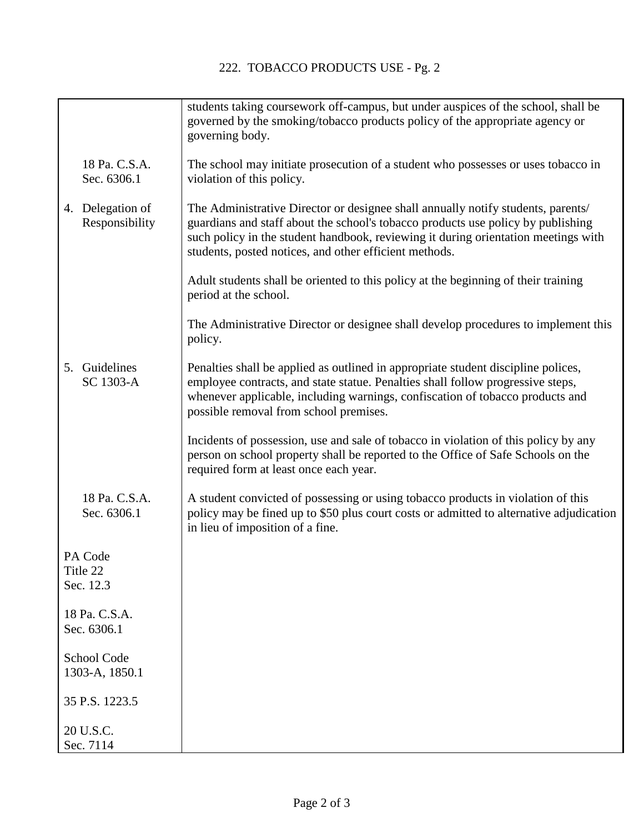|                                  |                                    | students taking coursework off-campus, but under auspices of the school, shall be<br>governed by the smoking/tobacco products policy of the appropriate agency or<br>governing body.                                                                                                                                 |
|----------------------------------|------------------------------------|----------------------------------------------------------------------------------------------------------------------------------------------------------------------------------------------------------------------------------------------------------------------------------------------------------------------|
|                                  | 18 Pa. C.S.A.<br>Sec. 6306.1       | The school may initiate prosecution of a student who possesses or uses tobacco in<br>violation of this policy.                                                                                                                                                                                                       |
|                                  | 4. Delegation of<br>Responsibility | The Administrative Director or designee shall annually notify students, parents/<br>guardians and staff about the school's tobacco products use policy by publishing<br>such policy in the student handbook, reviewing it during orientation meetings with<br>students, posted notices, and other efficient methods. |
|                                  |                                    | Adult students shall be oriented to this policy at the beginning of their training<br>period at the school.                                                                                                                                                                                                          |
|                                  |                                    | The Administrative Director or designee shall develop procedures to implement this<br>policy.                                                                                                                                                                                                                        |
|                                  | 5. Guidelines<br>SC 1303-A         | Penalties shall be applied as outlined in appropriate student discipline polices,<br>employee contracts, and state statue. Penalties shall follow progressive steps,<br>whenever applicable, including warnings, confiscation of tobacco products and<br>possible removal from school premises.                      |
|                                  |                                    | Incidents of possession, use and sale of tobacco in violation of this policy by any<br>person on school property shall be reported to the Office of Safe Schools on the<br>required form at least once each year.                                                                                                    |
|                                  | 18 Pa. C.S.A.<br>Sec. 6306.1       | A student convicted of possessing or using tobacco products in violation of this<br>policy may be fined up to \$50 plus court costs or admitted to alternative adjudication<br>in lieu of imposition of a fine.                                                                                                      |
| PA Code<br>Title 22<br>Sec. 12.3 |                                    |                                                                                                                                                                                                                                                                                                                      |
| 18 Pa. C.S.A.<br>Sec. 6306.1     |                                    |                                                                                                                                                                                                                                                                                                                      |
| School Code<br>1303-A, 1850.1    |                                    |                                                                                                                                                                                                                                                                                                                      |
| 35 P.S. 1223.5                   |                                    |                                                                                                                                                                                                                                                                                                                      |
| 20 U.S.C.<br>Sec. 7114           |                                    |                                                                                                                                                                                                                                                                                                                      |